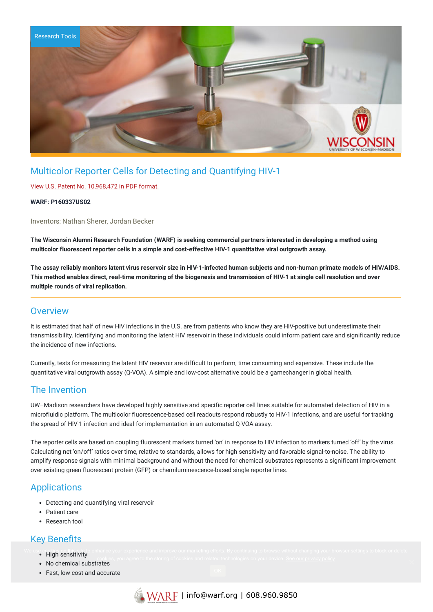

# Multicolor Reporter Cells for Detecting and Quantifying HIV-1

#### View U.S. Patent No. [10,968,472](https://www.warf.org/wp-content/uploads/technologies/ipstatus/P160337US02.pdf) in PDF format.

#### **WARF: P160337US02**

Inventors: Nathan Sherer, Jordan Becker

The Wisconsin Alumni Research Foundation (WARF) is seeking commercial partners interested in developing a method using **multicolor fluorescent reporter cells in a simple and cost-effective HIV-1 quantitative viral outgrowth assay.**

The assay reliably monitors latent virus reservoir size in HIV-1-infected human subiects and non-human primate models of HIV/AIDS. This method enables direct, real-time monitoring of the biogenesis and transmission of HIV-1 at single cell resolution and over **multiple rounds of viral replication.**

### **Overview**

It is estimated that half of new HIV infections in the U.S. are from patients who know they are HIV-positive but underestimate their transmissibility. Identifying and monitoring the latent HIV reservoir in these individuals could inform patient care and significantly reduce the incidence of new infections.

Currently, tests for measuring the latent HIV reservoir are difficult to perform, time consuming and expensive. These include the quantitative viral outgrowth assay (Q-VOA). A simple and low-cost alternative could be a gamechanger in global health.

## The Invention

UW–Madison researchers have developed highly sensitive and specific reporter cell lines suitable for automated detection of HIV in a microfluidic platform. The multicolor fluorescence-based cell readouts respond robustly to HIV-1 infections, and are useful for tracking the spread of HIV-1 infection and ideal for implementation in an automated Q-VOA assay.

The reporter cells are based on coupling fluorescent markers turned 'on' in response to HIV infection to markers turned 'off' by the virus. Calculating net 'on/off' ratios over time, relative to standards, allows for high sensitivity and favorable signal-to-noise. The ability to amplify response signals with minimal background and without the need for chemical substrates represents a significant improvement over existing green fluorescent protein (GFP) or chemiluminescence-based single reporter lines.

## Applications

- Detecting and quantifying viral reservoir
- Patient care
- Research tool

## Key Benefits

- High sensitivity We use cookies on this site to enhance your experience and improve our marketing efforts. By continuing to browse without changing your browser settings to block or delete
	- No chemical substrates
	- Fast, low cost and accurate